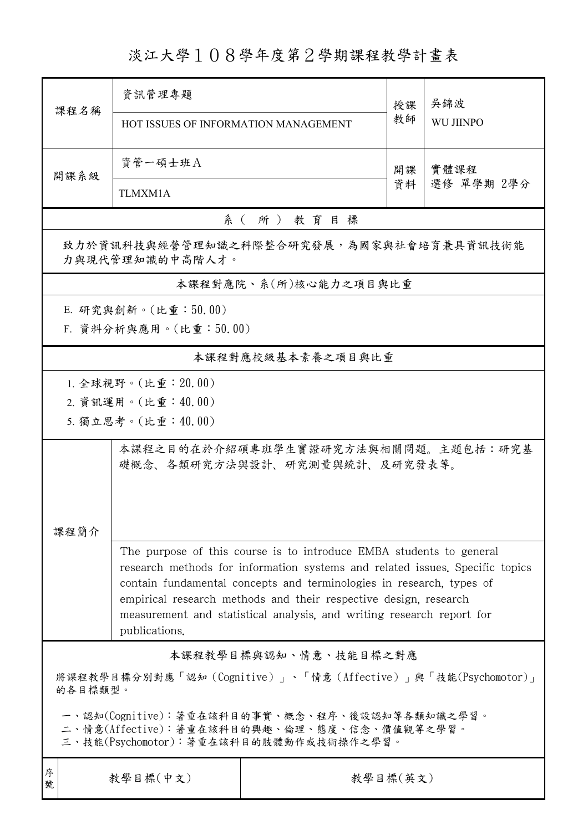## 淡江大學108學年度第2學期課程教學計畫表

| 课程名稱                                                                                                                                   | 資訊管理專題<br>HOT ISSUES OF INFORMATION MANAGEMENT |                                                                                                                                                                                                                                                                                                                                                                          | 授課<br>教師 | 吳錦波<br><b>WU JIINPO</b> |  |
|----------------------------------------------------------------------------------------------------------------------------------------|------------------------------------------------|--------------------------------------------------------------------------------------------------------------------------------------------------------------------------------------------------------------------------------------------------------------------------------------------------------------------------------------------------------------------------|----------|-------------------------|--|
|                                                                                                                                        |                                                |                                                                                                                                                                                                                                                                                                                                                                          |          |                         |  |
| 開課系級                                                                                                                                   | 資管一碩士班A                                        |                                                                                                                                                                                                                                                                                                                                                                          | 開課       | 實體課程                    |  |
|                                                                                                                                        | <b>TLMXM1A</b>                                 |                                                                                                                                                                                                                                                                                                                                                                          | 資料       | 選修 單學期 2學分              |  |
|                                                                                                                                        |                                                | 系(所)教育目標                                                                                                                                                                                                                                                                                                                                                                 |          |                         |  |
| 致力於資訊科技與經營管理知識之科際整合研究發展,為國家與社會培育兼具資訊技術能<br>力與現代管理知識的中高階人才。                                                                             |                                                |                                                                                                                                                                                                                                                                                                                                                                          |          |                         |  |
|                                                                                                                                        |                                                | 本課程對應院、系(所)核心能力之項目與比重                                                                                                                                                                                                                                                                                                                                                    |          |                         |  |
|                                                                                                                                        | E. 研究與創新。(比重:50.00)                            |                                                                                                                                                                                                                                                                                                                                                                          |          |                         |  |
|                                                                                                                                        | F. 資料分析與應用。(比重: 50.00)                         |                                                                                                                                                                                                                                                                                                                                                                          |          |                         |  |
|                                                                                                                                        |                                                | 本課程對應校級基本素養之項目與比重                                                                                                                                                                                                                                                                                                                                                        |          |                         |  |
| 1. 全球視野。(比重:20.00)<br>2. 資訊運用。(比重:40.00)<br>5. 獨立思考。(比重:40.00)                                                                         |                                                |                                                                                                                                                                                                                                                                                                                                                                          |          |                         |  |
|                                                                                                                                        |                                                |                                                                                                                                                                                                                                                                                                                                                                          |          |                         |  |
| 课程简介                                                                                                                                   |                                                | 本課程之目的在於介紹碩專班學生實證研究方法與相關問題。主題包括:研究基<br>礎概念、各類研究方法與設計、研究測量與統計、及研究發表等。                                                                                                                                                                                                                                                                                                     |          |                         |  |
|                                                                                                                                        | publications.                                  | The purpose of this course is to introduce EMBA students to general<br>research methods for information systems and related issues. Specific topics<br>contain fundamental concepts and terminologies in research, types of<br>empirical research methods and their respective design, research<br>measurement and statistical analysis, and writing research report for |          |                         |  |
| 本課程教學目標與認知、情意、技能目標之對應                                                                                                                  |                                                |                                                                                                                                                                                                                                                                                                                                                                          |          |                         |  |
| 將課程教學目標分別對應「認知(Cognitive)」、「情意(Affective)」與「技能(Psychomotor)」<br>的各目標類型。                                                                |                                                |                                                                                                                                                                                                                                                                                                                                                                          |          |                         |  |
| 一、認知(Cognitive):著重在該科目的事實、概念、程序、後設認知等各類知識之學習。<br>二、情意(Affective):著重在該科目的興趣、倫理、態度、信念、價值觀等之學習。<br>三、技能(Psychomotor):著重在該科目的肢體動作或技術操作之學習。 |                                                |                                                                                                                                                                                                                                                                                                                                                                          |          |                         |  |
| 序<br>號                                                                                                                                 | 教學目標(中文)                                       | 教學目標(英文)                                                                                                                                                                                                                                                                                                                                                                 |          |                         |  |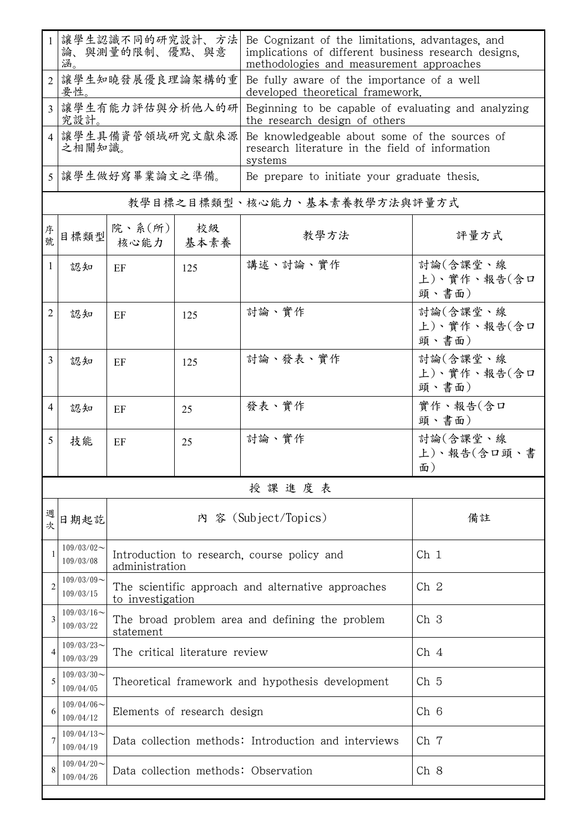|                | 讓學生認識不同的研究設計、方法<br>論、與測量的限制、優點、與意<br>涵。 |                                                                                           |                 | Be Cognizant of the limitations, advantages, and<br>implications of different business research designs,<br>methodologies and measurement approaches |                                  |  |
|----------------|-----------------------------------------|-------------------------------------------------------------------------------------------|-----------------|------------------------------------------------------------------------------------------------------------------------------------------------------|----------------------------------|--|
|                | 讓學生知曉發展優良理論架構的重<br>要性。                  |                                                                                           |                 | Be fully aware of the importance of a well<br>developed theoretical framework.                                                                       |                                  |  |
| $\mathbf{3}$   | 讓學生有能力評估與分析他人的研<br>究設計。                 |                                                                                           |                 | Beginning to be capable of evaluating and analyzing<br>the research design of others                                                                 |                                  |  |
|                | 讓學生具備資管領域研究文獻來源<br>之相關知識。               |                                                                                           |                 | Be knowledgeable about some of the sources of<br>research literature in the field of information<br>systems                                          |                                  |  |
|                | 5  讓學生做好寫畢業論文之準備。                       |                                                                                           |                 | Be prepare to initiate your graduate thesis.                                                                                                         |                                  |  |
|                | 教學目標之目標類型、核心能力、基本素養教學方法與評量方式            |                                                                                           |                 |                                                                                                                                                      |                                  |  |
| 序<br>號         | 目標類型                                    | 院、系 $(\hbox{\tt m})$<br>核心能力   基本素養                                                       | 校級              | 教學方法                                                                                                                                                 | 評量方式                             |  |
| 1              | 認知                                      | EF                                                                                        | 125             | 講述、討論、實作                                                                                                                                             | 討論(含課堂、線<br>上)、實作、報告(含口<br>頭、書面) |  |
| $\overline{2}$ | 認知                                      | EF                                                                                        | 125             | 討論、實作                                                                                                                                                | 討論(含課堂、線<br>上)、實作、報告(含口<br>頭、書面) |  |
| 3              | 認知                                      | EF                                                                                        | 125             | 討論、發表、實作                                                                                                                                             | 討論(含課堂、線<br>上)、實作、報告(含口<br>頭、書面) |  |
| 4              | 認知                                      | EF                                                                                        | 25              | 發表、實作                                                                                                                                                | 實作、報告(含口<br>頭、書面)                |  |
| 5              | 技能                                      | EF                                                                                        | 25              | 討論、實作                                                                                                                                                | 討論(含課堂、線<br>上)、報告(含口頭、書<br>面)    |  |
|                | 授課進度表                                   |                                                                                           |                 |                                                                                                                                                      |                                  |  |
| 週<br>次         | 日期起訖                                    | 內 容 (Subject/Topics)<br>備註                                                                |                 |                                                                                                                                                      |                                  |  |
|                | $109/03/02$ ~<br>109/03/08              | Ch <sub>1</sub><br>Introduction to research, course policy and<br>administration          |                 |                                                                                                                                                      |                                  |  |
| $\overline{2}$ | $109/03/09$ ~<br>109/03/15              | Ch <sub>2</sub><br>The scientific approach and alternative approaches<br>to investigation |                 |                                                                                                                                                      |                                  |  |
| 3              | $109/03/16$ ~<br>109/03/22              | The broad problem area and defining the problem<br>statement                              |                 |                                                                                                                                                      | Ch <sub>3</sub>                  |  |
| 4              | $109/03/23$ ~<br>109/03/29              | The critical literature review                                                            |                 |                                                                                                                                                      | Ch <sub>4</sub>                  |  |
| 5              | $109/03/30$ ~<br>109/04/05              | Theoretical framework and hypothesis development                                          | Ch <sub>5</sub> |                                                                                                                                                      |                                  |  |
| 6              | $109/04/06 \sim$<br>109/04/12           | Elements of research design<br>Ch <sub>6</sub>                                            |                 |                                                                                                                                                      |                                  |  |
| 7              | $109/04/13$ ~<br>109/04/19              | Data collection methods: Introduction and interviews<br>Ch 7                              |                 |                                                                                                                                                      |                                  |  |
| 8              | $109/04/20$ ~<br>109/04/26              | Data collection methods: Observation<br>Ch <sub>8</sub>                                   |                 |                                                                                                                                                      |                                  |  |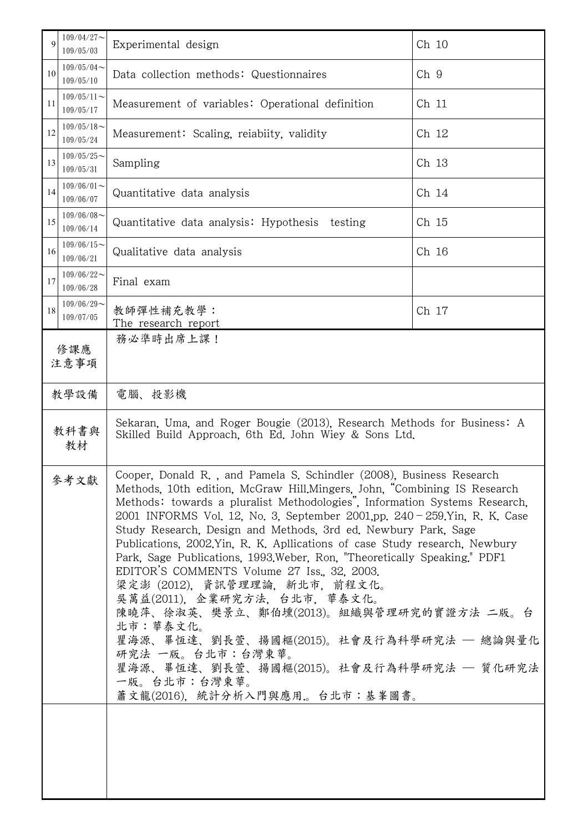| 9                                                                                                                                                                                                                                                                                                                                                                                                                                                                                                                                                                                                                                                                                                                                                                                                                                                                                         | $109/04/27$ ~<br>109/05/03 | Experimental design                                                                                                              | Ch 10           |  |  |
|-------------------------------------------------------------------------------------------------------------------------------------------------------------------------------------------------------------------------------------------------------------------------------------------------------------------------------------------------------------------------------------------------------------------------------------------------------------------------------------------------------------------------------------------------------------------------------------------------------------------------------------------------------------------------------------------------------------------------------------------------------------------------------------------------------------------------------------------------------------------------------------------|----------------------------|----------------------------------------------------------------------------------------------------------------------------------|-----------------|--|--|
| 10                                                                                                                                                                                                                                                                                                                                                                                                                                                                                                                                                                                                                                                                                                                                                                                                                                                                                        | $109/05/04$ ~<br>109/05/10 | Data collection methods: Questionnaires                                                                                          | Ch <sub>9</sub> |  |  |
| 11                                                                                                                                                                                                                                                                                                                                                                                                                                                                                                                                                                                                                                                                                                                                                                                                                                                                                        | $109/05/11$ ~<br>109/05/17 | Measurement of variables: Operational definition                                                                                 | Ch 11           |  |  |
| 12                                                                                                                                                                                                                                                                                                                                                                                                                                                                                                                                                                                                                                                                                                                                                                                                                                                                                        | $109/05/18$ ~<br>109/05/24 | Measurement: Scaling, reiabiity, validity                                                                                        | Ch 12           |  |  |
| 13                                                                                                                                                                                                                                                                                                                                                                                                                                                                                                                                                                                                                                                                                                                                                                                                                                                                                        | $109/05/25$ ~<br>109/05/31 | Sampling                                                                                                                         | Ch 13           |  |  |
| 14                                                                                                                                                                                                                                                                                                                                                                                                                                                                                                                                                                                                                                                                                                                                                                                                                                                                                        | $109/06/01$ ~<br>109/06/07 | Quantitative data analysis                                                                                                       | Ch 14           |  |  |
| 15                                                                                                                                                                                                                                                                                                                                                                                                                                                                                                                                                                                                                                                                                                                                                                                                                                                                                        | $109/06/08$ ~<br>109/06/14 | Quantitative data analysis: Hypothesis<br>testing<br>Ch 15                                                                       |                 |  |  |
| 16                                                                                                                                                                                                                                                                                                                                                                                                                                                                                                                                                                                                                                                                                                                                                                                                                                                                                        | $109/06/15$ ~<br>109/06/21 | Qualitative data analysis<br>Ch 16                                                                                               |                 |  |  |
| 17                                                                                                                                                                                                                                                                                                                                                                                                                                                                                                                                                                                                                                                                                                                                                                                                                                                                                        | $109/06/22$ ~<br>109/06/28 | Final exam                                                                                                                       |                 |  |  |
| 18                                                                                                                                                                                                                                                                                                                                                                                                                                                                                                                                                                                                                                                                                                                                                                                                                                                                                        | $109/06/29$ ~<br>109/07/05 | 教師彈性補充教學:<br>The research report                                                                                                 | Ch 17           |  |  |
| 修課應<br>注意事項                                                                                                                                                                                                                                                                                                                                                                                                                                                                                                                                                                                                                                                                                                                                                                                                                                                                               |                            | 務必準時出席上課!                                                                                                                        |                 |  |  |
|                                                                                                                                                                                                                                                                                                                                                                                                                                                                                                                                                                                                                                                                                                                                                                                                                                                                                           | 教學設備                       | 電腦、投影機                                                                                                                           |                 |  |  |
| 教科書與<br>教材                                                                                                                                                                                                                                                                                                                                                                                                                                                                                                                                                                                                                                                                                                                                                                                                                                                                                |                            | Sekaran, Uma, and Roger Bougie (2013), Research Methods for Business: A<br>Skilled Build Approach, 6th Ed. John Wiey & Sons Ltd. |                 |  |  |
| Cooper, Donald R., and Pamela S. Schindler (2008), Business Research<br>參考文獻<br>Methods, 10th edition, McGraw Hill, Mingers, John, "Combining IS Research<br>Methods: towards a pluralist Methodologies", Information Systems Research,<br>2001 INFORMS Vol. 12, No. 3, September 2001,pp. $240 - 259$ .Yin, R. K. Case<br>Study Research, Design and Methods, 3rd ed. Newbury Park, Sage<br>Publications, 2002. Yin, R. K. Apllications of case Study research, Newbury<br>Park, Sage Publications, 1993. Weber, Ron, "Theoretically Speaking." PDF1<br>EDITOR'S COMMENTS Volume 27 Iss., 32, 2003.<br>梁定澎 (2012),資訊管理理論,新北市,前程文化。<br>吳萬益(2011), 企業研究方法, 台北市, 華泰文化。<br>陳曉萍、徐淑英、樊景立、鄭伯壎(2013)。組織與管理研究的實證方法 二版。台<br>北市:華泰文化。<br>瞿海源、畢恆達、劉長萱、揚國樞(2015)。社會及行為科學研究法 — 總論與量化<br>研究法 一版。台北市:台灣東華。<br>瞿海源、畢恆達、劉長萱、揚國樞(2015)。社會及行為科學研究法 — 質化研究法<br>一版。台北市:台灣東華。<br>蕭文龍(2016), 統計分析入門與應用。台北市:基峯圖書。 |                            |                                                                                                                                  |                 |  |  |